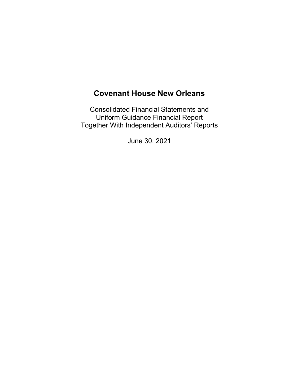Consolidated Financial Statements and Uniform Guidance Financial Report Together With Independent Auditors' Reports

June 30, 2021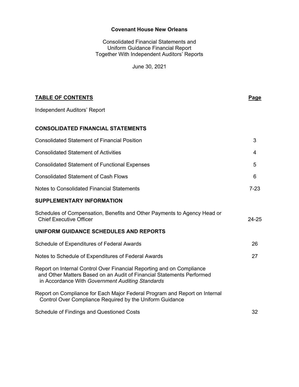Consolidated Financial Statements and Uniform Guidance Financial Report Together With Independent Auditors' Reports

June 30, 2021

| <b>TABLE OF CONTENTS</b>                                                                                                                                                                           | Page     |
|----------------------------------------------------------------------------------------------------------------------------------------------------------------------------------------------------|----------|
| <b>Independent Auditors' Report</b>                                                                                                                                                                |          |
| <b>CONSOLIDATED FINANCIAL STATEMENTS</b>                                                                                                                                                           |          |
| <b>Consolidated Statement of Financial Position</b>                                                                                                                                                | 3        |
| <b>Consolidated Statement of Activities</b>                                                                                                                                                        | 4        |
| <b>Consolidated Statement of Functional Expenses</b>                                                                                                                                               | 5        |
| <b>Consolidated Statement of Cash Flows</b>                                                                                                                                                        | 6        |
| <b>Notes to Consolidated Financial Statements</b>                                                                                                                                                  | $7 - 23$ |
| <b>SUPPLEMENTARY INFORMATION</b>                                                                                                                                                                   |          |
| Schedules of Compensation, Benefits and Other Payments to Agency Head or<br><b>Chief Executive Officer</b>                                                                                         | 24-25    |
| UNIFORM GUIDANCE SCHEDULES AND REPORTS                                                                                                                                                             |          |
| Schedule of Expenditures of Federal Awards                                                                                                                                                         | 26       |
| Notes to Schedule of Expenditures of Federal Awards                                                                                                                                                | 27       |
| Report on Internal Control Over Financial Reporting and on Compliance<br>and Other Matters Based on an Audit of Financial Statements Performed<br>in Accordance With Government Auditing Standards |          |
| Report on Compliance for Each Major Federal Program and Report on Internal<br>Control Over Compliance Required by the Uniform Guidance                                                             |          |
| <b>Schedule of Findings and Questioned Costs</b>                                                                                                                                                   | 32       |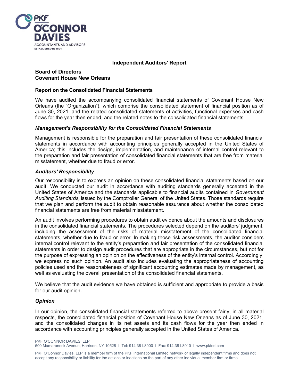

## **Independent Auditors' Report**

## **Board of Directors Covenant House New Orleans**

#### **Report on the Consolidated Financial Statements**

We have audited the accompanying consolidated financial statements of Covenant House New Orleans (the "Organization"), which comprise the consolidated statement of financial position as of June 30, 2021, and the related consolidated statements of activities, functional expenses and cash flows for the year then ended, and the related notes to the consolidated financial statements.

#### *Management's Responsibility for the Consolidated Financial Statements*

Management is responsible for the preparation and fair presentation of these consolidated financial statements in accordance with accounting principles generally accepted in the United States of America; this includes the design, implementation, and maintenance of internal control relevant to the preparation and fair presentation of consolidated financial statements that are free from material misstatement, whether due to fraud or error.

#### *Auditors' Responsibility*

Our responsibility is to express an opinion on these consolidated financial statements based on our audit. We conducted our audit in accordance with auditing standards generally accepted in the United States of America and the standards applicable to financial audits contained in *Government Auditing Standards,* issued by the Comptroller General of the United States. Those standards require that we plan and perform the audit to obtain reasonable assurance about whether the consolidated financial statements are free from material misstatement.

An audit involves performing procedures to obtain audit evidence about the amounts and disclosures in the consolidated financial statements. The procedures selected depend on the auditors' judgment, including the assessment of the risks of material misstatement of the consolidated financial statements, whether due to fraud or error. In making those risk assessments, the auditor considers internal control relevant to the entity's preparation and fair presentation of the consolidated financial statements in order to design audit procedures that are appropriate in the circumstances, but not for the purpose of expressing an opinion on the effectiveness of the entity's internal control. Accordingly, we express no such opinion. An audit also includes evaluating the appropriateness of accounting policies used and the reasonableness of significant accounting estimates made by management, as well as evaluating the overall presentation of the consolidated financial statements.

We believe that the audit evidence we have obtained is sufficient and appropriate to provide a basis for our audit opinion.

## *Opinion*

In our opinion, the consolidated financial statements referred to above present fairly, in all material respects, the consolidated financial position of Covenant House New Orleans as of June 30, 2021, and the consolidated changes in its net assets and its cash flows for the year then ended in accordance with accounting principles generally accepted in the United States of America.

PKF O'CONNOR DAVIES, LLP 500 Mamaroneck Avenue, Harrison, NY 10528 I Tel: 914.381.8900 I Fax: 914.381.8910 I www.pkfod.com

PKF O'Connor Davies, LLP is a member firm of the PKF International Limited network of legally independent firms and does not accept any responsibility or liability for the actions or inactions on the part of any other individual member firm or firms.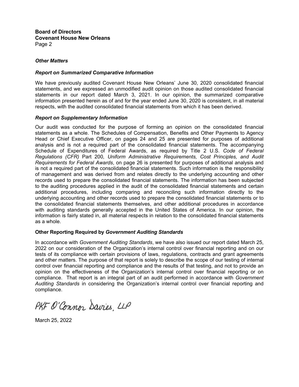**Board of Directors Covenant House New Orleans**  Page 2

#### *Other Matters*

#### *Report on Summarized Comparative Information*

We have previously audited Covenant House New Orleans' June 30, 2020 consolidated financial statements, and we expressed an unmodified audit opinion on those audited consolidated financial statements in our report dated March 3, 2021. In our opinion, the summarized comparative information presented herein as of and for the year ended June 30, 2020 is consistent, in all material respects, with the audited consolidated financial statements from which it has been derived.

#### *Report on Supplementary Information*

Our audit was conducted for the purpose of forming an opinion on the consolidated financial statements as a whole. The Schedules of Compensation, Benefits and Other Payments to Agency Head or Chief Executive Officer, on pages 24 and 25 are presented for purposes of additional analysis and is not a required part of the consolidated financial statements. The accompanying Schedule of Expenditures of Federal Awards, as required by Title 2 U.S. *Code of Federal Regulations (CFR)* Part 200*, Uniform Administrative Requirements, Cost Principles, and Audit Requirements for Federal Awards*, on page 26 is presented for purposes of additional analysis and is not a required part of the consolidated financial statements. Such information is the responsibility of management and was derived from and relates directly to the underlying accounting and other records used to prepare the consolidated financial statements. The information has been subjected to the auditing procedures applied in the audit of the consolidated financial statements and certain additional procedures, including comparing and reconciling such information directly to the underlying accounting and other records used to prepare the consolidated financial statements or to the consolidated financial statements themselves, and other additional procedures in accordance with auditing standards generally accepted in the United States of America. In our opinion, the information is fairly stated in, all material respects in relation to the consolidated financial statements as a whole.

## **Other Reporting Required by** *Government Auditing Standards*

In accordance with *Government Auditing Standards*, we have also issued our report dated March 25, 2022 on our consideration of the Organization's internal control over financial reporting and on our tests of its compliance with certain provisions of laws, regulations, contracts and grant agreements and other matters. The purpose of that report is solely to describe the scope of our testing of internal control over financial reporting and compliance and the results of that testing, and not to provide an opinion on the effectiveness of the Organization's internal control over financial reporting or on compliance. That report is an integral part of an audit performed in accordance with *Government Auditing Standards* in considering the Organization's internal control over financial reporting and compliance.

PKF O'Connor Savies LLP

March 25, 2022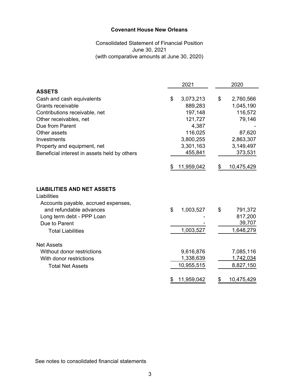Consolidated Statement of Financial Position June 30, 2021 (with comparative amounts at June 30, 2020)

|                                                  | 2021             | 2020             |
|--------------------------------------------------|------------------|------------------|
| <b>ASSETS</b>                                    |                  |                  |
| Cash and cash equivalents                        | \$<br>3,073,213  | \$<br>2,760,566  |
| <b>Grants receivable</b>                         | 889,283          | 1,045,190        |
| Contributions receivable, net                    | 197,148          | 116,572          |
| Other receivables, net                           | 121,727          | 79,146           |
| Due from Parent                                  | 4,387            |                  |
| Other assets                                     | 116,025          | 87,620           |
| Investments                                      | 3,800,255        | 2,863,307        |
| Property and equipment, net                      | 3,301,163        | 3,149,497        |
| Beneficial interest in assets held by others     | 455,841          | 373,531          |
|                                                  | \$<br>11,959,042 | \$<br>10,475,429 |
| <b>LIABILITIES AND NET ASSETS</b><br>Liabilities |                  |                  |
| Accounts payable, accrued expenses,              |                  |                  |
| and refundable advances                          | \$<br>1,003,527  | \$<br>791,372    |
| Long term debt - PPP Loan                        |                  | 817,200          |
| Due to Parent                                    |                  | 39,707           |
| <b>Total Liabilities</b>                         | 1,003,527        | 1,648,279        |
| <b>Net Assets</b>                                |                  |                  |
| Without donor restrictions                       | 9,616,876        | 7,085,116        |
| With donor restrictions                          | 1,338,639        | 1,742,034        |
| <b>Total Net Assets</b>                          | 10,955,515       | 8,827,150        |
|                                                  | \$<br>11,959,042 | \$<br>10,475,429 |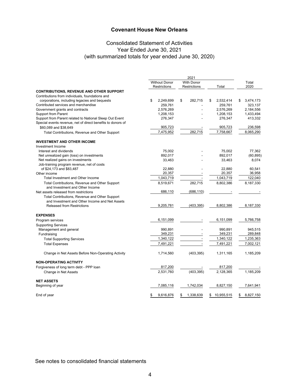# Consolidated Statement of Activities Year Ended June 30, 2021 (with summarized totals for year ended June 30, 2020)

|                                                                                   | 2021                 |    |                          |                  |                 |
|-----------------------------------------------------------------------------------|----------------------|----|--------------------------|------------------|-----------------|
|                                                                                   | <b>Without Donor</b> |    | <b>With Donor</b>        |                  | Total           |
|                                                                                   | Restrictions         |    | Restrictions             | Total            | 2020            |
| <b>CONTRIBUTIONS, REVENUE AND OTHER SUPPORT</b>                                   |                      |    |                          |                  |                 |
| Contributions from individuals, foundations and                                   |                      |    |                          |                  |                 |
| corporations, including legacies and bequests                                     | \$<br>2,249,699      | \$ | 282,715                  | \$<br>2,532,414  | \$<br>3,474,173 |
| Contributed services and merchandise                                              | 259,761              |    |                          | 259,761          | 323,137         |
| Government grants and contracts                                                   | 2,576,269            |    |                          | 2,576,269        | 2,184,556       |
| Support from Parent                                                               | 1,208,153            |    |                          | 1,208,153        | 1,433,494       |
| Support from Parent related to National Sleep Out Event                           | 276,347              |    |                          | 276,347          | 413,332         |
| Special events revenue, net of direct benefits to donors of                       |                      |    |                          |                  |                 |
| \$60,089 and \$38,649                                                             | 905,723              |    |                          | 905,723          | 236,598         |
| Total Contributions, Revenue and Other Support                                    | 7,475,952            |    | 282,715                  | 7,758,667        | 8,065,290       |
| <b>INVESTMENT AND OTHER INCOME</b>                                                |                      |    |                          |                  |                 |
| Investment Income                                                                 |                      |    |                          |                  |                 |
| Interest and dividends                                                            | 75,002               |    |                          | 75,002           | 77,362          |
| Net unrealized gain (loss) on investments                                         | 892,017              |    |                          | 892,017          | (60, 895)       |
| Net realized gains on investments                                                 | 33,463               |    |                          | 33,463           | 8,074           |
| Job-training program revenue, net of costs                                        |                      |    |                          |                  |                 |
| of \$24,173 and \$83,487                                                          | 22,880               |    |                          | 22.880           | 60.541          |
| Other income                                                                      | 20,357               |    |                          | 20,357           | 36,958          |
| Total Investment and Other Income                                                 | 1,043,719            |    |                          | 1,043,719        | 122,040         |
| Total Contributions, Revenue and Other Support<br>and Investment and Other Income | 8,519,671            |    | 282,715                  | 8,802,386        | 8,187,330       |
| Net assets released from restrictions                                             | 686,110              |    | (686, 110)               |                  |                 |
| Total Contributions, Revenue and Other Support                                    |                      |    |                          |                  |                 |
| and Investment and Other Income and Net Assets                                    |                      |    |                          |                  |                 |
| <b>Released from Restrictions</b>                                                 | 9,205,781            |    | (403, 395)               | 8,802,386        | 8,187,330       |
|                                                                                   |                      |    |                          |                  |                 |
| <b>EXPENSES</b>                                                                   |                      |    |                          |                  |                 |
| Program services                                                                  | 6,151,099            |    |                          | 6,151,099        | 5,766,758       |
| <b>Supporting Services</b>                                                        |                      |    |                          |                  |                 |
| Management and general                                                            | 990,891              |    |                          | 990.891          | 945.515         |
| Fundraising                                                                       | 349,231              |    |                          | 349,231          | 289,848         |
| <b>Total Supporting Services</b>                                                  | 1,340,122            |    | $\overline{\phantom{a}}$ | 1,340,122        | 1,235,363       |
| <b>Total Expenses</b>                                                             | 7,491,221            |    |                          | 7,491,221        | 7,002,121       |
| Change in Net Assets Before Non-Operating Activity                                | 1,714,560            |    | (403, 395)               | 1,311,165        | 1,185,209       |
| <b>NON-OPERATING ACTIVITY</b>                                                     |                      |    |                          |                  |                 |
| Forgiveness of long term debt - PPP loan                                          | 817,200              |    |                          | 817,200          |                 |
| Change in Net Assets                                                              | 2,531,760            |    | (403, 395)               | 2,128,365        | 1,185,209       |
| <b>NET ASSETS</b>                                                                 |                      |    |                          |                  |                 |
| Beginning of year                                                                 | 7,085,116            |    | 1,742,034                | 8,827,150        | 7,641,941       |
| End of year                                                                       | \$<br>9,616,876      |    | 1,338,639                | \$<br>10,955,515 | \$<br>8,827,150 |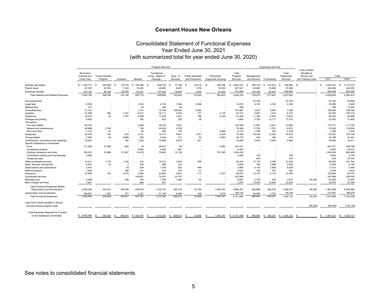# Consolidated Statement of Functional Expenses Year Ended June 30, 2021 (with summarized total for year ended June 30, 2020)

|                                            |                           |                       |                 |               | Program Services                              |               | <b>Supporting Services</b>                |                           |                          |                 |               |                                 |                                             |                 |                 |
|--------------------------------------------|---------------------------|-----------------------|-----------------|---------------|-----------------------------------------------|---------------|-------------------------------------------|---------------------------|--------------------------|-----------------|---------------|---------------------------------|---------------------------------------------|-----------------|-----------------|
|                                            | Short-term<br>Housing and | <b>Young Families</b> |                 | Medical       | Transitional<br>Living - Rights of<br>Passage | Drop - in     | <b>Public Education</b><br>and Prevention | Permanent                 | Total<br>Program         | Management      |               | Total<br>Supporting<br>Services | Cost of Direct<br>Benefits to<br>Donors and | Total<br>2021   | 2020            |
|                                            | <b>Crisis Care</b>        | Program               | Outreach        |               |                                               | Services      |                                           | <b>Supportive Housing</b> | Services                 | and General     | Fundraising   |                                 | <b>Job-Training Costs</b>                   |                 |                 |
| Salaries and wages                         | \$1.183.715               | 263,659<br>- S        | 97.070<br>- \$  | 192,386<br>-S | 620,279<br>- \$                               | 77,756<br>- S | 20.414<br>- S                             | 205,796<br>$^{\circ}$     | 2.661.075<br>-S          | 545,129<br>- \$ | 215,833<br>-S | 760,962<br>-S                   | - S<br>- S                                  | 3,422,037       | 3,113,316<br>-S |
| Payroll taxes                              | 91,328                    | 20,353                | 7.343           | 15,082        | 48.985                                        | 6,047         | 1,578                                     | 16,305                    | 207.021                  | 40,982          | 16.486        | 57.468                          |                                             | 264.489         | 244,063         |
| Employee benefits                          | 370,125                   | 82,426                | 25,782          | 42,251        | 137,542                                       | 19,040        | 3,008                                     | 61,522                    | 741,696                  | 163,359         | 45,304        | 208,663                         |                                             | 950,359         | 927,095         |
| <b>Total Salaries and Related Expenses</b> | 1,645,168                 | 366,438               | 130,195         | 249,719       | 806,806                                       | 102,843       | 25,000                                    | 283,623                   | 3,609,792                | 749,470         | 277,623       | 1,027,093                       |                                             | 4,636,885       | 4,284,474       |
| Accounting fees                            |                           |                       |                 |               |                                               |               |                                           |                           | $\overline{\phantom{a}}$ | 57,750          | $\sim$        | 57,750                          |                                             | 57,750          | 44,950          |
| Legal fees                                 | 6.204                     |                       |                 | 1.034         | 4.136                                         | 1.034         | 2.068                                     |                           | 14.476                   | 3,102           | 3,102         | 6.204                           |                                             | 20.680          | 2.446           |
| Medical fees                               | 477                       |                       |                 | 40            | 239                                           | 40            |                                           |                           | 796                      |                 |               |                                 |                                             | 796             | 13,307          |
| Consulting fees                            | 31,141                    |                       |                 | 3,191         | 16,746                                        | 128,404       | 2,385                                     | ٠                         | 181,867                  | 3,914           | 3,644         | 7,558                           |                                             | 189,425         | 195,706         |
| Supplies                                   | 51.498                    | 282                   | 1.341           | 6,071         | 16.111                                        | 3.763         | 177                                       | 2,130                     | 81,373                   | 4,633           | 1,514         | 6.147                           |                                             | 87.520          | 106,719         |
| Telephone                                  | 18,515                    | 35                    | 1,757           | 2,089         | 11,076                                        | 1,641         | 166                                       | 6,149                     | 41,428                   | 11,352          | 2,463         | 13,815                          |                                             | 55,243          | 44,889          |
| Postage and printing                       | 4,683                     |                       |                 | 165           | 833                                           | 230           | 29                                        |                           | 5,940                    | 3,793           | 13,717        | 17,510                          |                                             | 23,450          | 31,900          |
| Occupancy                                  |                           |                       |                 |               |                                               |               |                                           |                           |                          |                 |               |                                 |                                             |                 |                 |
| Fuel and utilities                         | 83,729                    |                       |                 | 2,596         | 35,333                                        | 1,831         |                                           | $\overline{\phantom{a}}$  | 123,489                  | 11,587          | 2,241         | 13,828                          |                                             | 137,317         | 111,752         |
| Repairs and maintenance                    | 46,698                    | 2.740                 |                 | 139           | 24,036                                        | 4.756         |                                           | ٠.                        | 78,369                   | 11,782          | 1,791         | 13,573                          |                                             | 91,942          | 118,828         |
| Rent and other                             | 1,312                     | 51                    |                 | 65            | 525                                           | 178           |                                           | 2,988                     | 5,119                    | 1,766           | 343           | 2,109                           |                                             | 7,228           | 7,219           |
| Equipment                                  | 42,576                    | 102                   | 615             | 2.731         | 14.711                                        | 3.861         | 1,351                                     | 4.435                     | 70.382                   | 35.435          | 12,440        | 47.875                          |                                             | 118,257         | 107,728         |
| Transportation                             | 7,595                     | 44                    | 5,969           | 259           | 3,544                                         | 717           | 52                                        | 4,593                     | 22,773                   | 245             | 168           | 413                             | ٠                                           | 23,186          | 41,461          |
| Conferences, conventions and meetings      | 15,623                    |                       | 344             | 1,422         | 10.690                                        | 4.870         | 451                                       |                           | 33,400                   | 2,925           | 2,069         | 4.994                           |                                             | 38,394          | 16,311          |
| Specific Assistance to Individuals         |                           |                       |                 |               |                                               |               |                                           |                           |                          |                 |               |                                 |                                             |                 |                 |
| Food                                       | 171,246                   | 37,590                | 863             | 19            | 29,251                                        | 20            |                                           | 2,082                     | 241,071                  |                 |               |                                 |                                             | 241,071         | 249,758         |
| Contributed medical                        |                           |                       |                 | 5,080         | 2.540                                         | 847           |                                           |                           | 8.467                    |                 |               |                                 |                                             | 8.467           | 26,072          |
| Clothing, allowance and other              | 152,221                   | 33,684                | 21,947          | 10,419        | 76,660                                        | 10,139        |                                           | 737,360                   | 1,042,430                |                 |               | $\overline{a}$                  |                                             | 1,042,430       | 862,669         |
| Contributed clothing and merchandise       | 3,480                     |                       |                 |               |                                               |               |                                           |                           | 3,480                    | 145             |               | 145                             |                                             | 3,625           | 3,138           |
| Temporary help                             |                           |                       |                 |               |                                               |               |                                           |                           |                          | 919             |               | 919                             |                                             | 919             | 27,767          |
| Other purchased services                   | 41,611                    | 1,170                 | 1,140           | 410           | 15,313                                        | 3,343         | 329                                       |                           | 63,316                   | 17,175          | 4,768         | 21,943                          |                                             | 85,259          | 191,704         |
| Dues, licenses and permits                 | 2,291                     | 34                    | $\overline{7}$  | 106           | 955                                           | 213           |                                           |                           | 3,606                    | 705             | 1.698         | 2,403                           |                                             | 6,009           | 6,149           |
| Subscriptions and publications             | 2,815                     |                       | 29              | 229           | 1,160                                         | 262           | 488                                       |                           | 4,983                    | 4,100           | 1,929         | 6,029                           |                                             | 11,012          | 3,365           |
| Staff recruitment                          | 1,099                     |                       | 305             | 213           | 619                                           | 270           | 21                                        |                           | 2,527                    | 145             | 307           | 452                             |                                             | 2,979           | 3,816           |
| Insurance                                  | 47,666                    | 161                   | 4,375           | 3,065         | 20,853                                        | 5.001         | 117                                       | 7.437                     | 88,675                   | 10,191          | 2,118         | 12,309                          |                                             | 100,984         | 84,767          |
| Contributed services                       |                           |                       |                 | 148,601       | 74,301                                        | 24,767        |                                           |                           | 247.669                  |                 |               |                                 |                                             | 247.669         | 294,042         |
| Miscellaneous                              | 5,989                     |                       | 393             | 165           | 1.786                                         | 1,288         | 66                                        |                           | 9,687                    | 2,740           | 934           | 3.674                           | 84,265                                      | 97,626          | 13,497          |
| Bank charges and fees                      | 1,621                     |                       |                 | 648           | 973                                           |               |                                           |                           | 3,242                    | 10,025          | 12,609        | 22.634                          |                                             | 25.876          | 61,546          |
| <b>Total Functional Expenses Before</b>    |                           |                       |                 |               |                                               |               |                                           |                           |                          |                 |               |                                 |                                             |                 |                 |
| Depreciation and Amortization              | 2,385,258                 | 442,331               | 169,280         | 438,476       | 1,169,197                                     | 300,318       | 32,700                                    | 1,050,797                 | 5,988,357                | 943,899         | 345,478       | 1,289,377                       | 84,265                                      | 7,361,999       | 6,955,980       |
| Depreciation and amortization              | 106,827                   | 1,507                 | 37 <sup>1</sup> | 2,321         | 41.146                                        | 6,494         | 106                                       | 3.970                     | 162,742                  | 46,992          | 3,753         | 50,745                          |                                             | 213,487         | 168,278         |
| <b>Total Functional Expenses</b>           | 2,492,085                 | 443,838               | 169,651         | 440,797       | 1,210,343                                     | 306,812       | 32,806                                    | 1,054,767                 | 6,151,099                | 990,891         | 349,231       | 1,340,122                       | 84,265                                      | 7,575,486       | 7,124,258       |
| Less cost of direct benefits to donors     |                           |                       |                 |               |                                               |               |                                           |                           |                          |                 |               |                                 |                                             |                 |                 |
| and job-training program costs             |                           |                       |                 |               |                                               |               |                                           |                           |                          |                 |               |                                 | (84, 265)                                   | (84, 265)       | (122, 136)      |
| Total Expenses Reported by Function        |                           |                       |                 |               |                                               |               |                                           |                           |                          |                 |               |                                 |                                             |                 |                 |
| on the Statement of Activities             | \$2,492,085               | 443,838<br>-S         | 169,651<br>- \$ | 440,797<br>s. | 1,210,343<br>- \$                             | -S<br>306,812 | 32,806<br>-S                              | 1,054,767<br>-S           | \$6,151,099              | \$<br>990,891   | 349,231<br>-S | 1,340,122<br>s.                 | - S                                         | 7,491,221<br>-S | -S<br>7,002,121 |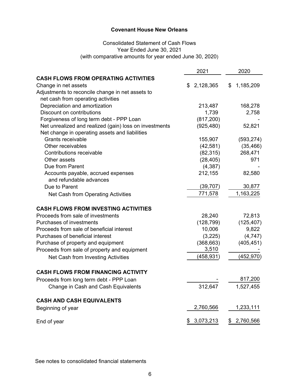# Consolidated Statement of Cash Flows Year Ended June 30, 2021 (with comparative amounts for year ended June 30, 2020)

|                                                        | 2021            | 2020            |
|--------------------------------------------------------|-----------------|-----------------|
| <b>CASH FLOWS FROM OPERATING ACTIVITIES</b>            |                 |                 |
| Change in net assets                                   | 2,128,365<br>\$ | 1,185,209<br>\$ |
| Adjustments to reconcile change in net assets to       |                 |                 |
| net cash from operating activities                     |                 |                 |
| Depreciation and amortization                          | 213,487         | 168,278         |
| <b>Discount on contributions</b>                       | 1,739           | 2,758           |
| Forgiveness of long term debt - PPP Loan               | (817, 200)      |                 |
| Net unrealized and realized (gain) loss on investments | (925, 480)      | 52,821          |
| Net change in operating assets and liabilities         |                 |                 |
| Grants receivable                                      | 155,907         | (593, 274)      |
| Other receivables                                      | (42, 581)       | (35, 466)       |
| Contributions receivable                               | (82, 315)       | 268,471         |
| Other assets                                           | (28, 405)       | 971             |
| Due from Parent                                        | (4, 387)        |                 |
| Accounts payable, accrued expenses                     | 212,155         | 82,580          |
| and refundable advances                                |                 |                 |
| Due to Parent                                          | (39, 707)       | 30,877          |
| Net Cash from Operating Activities                     | 771,578         | 1,163,225       |
| <b>CASH FLOWS FROM INVESTING ACTIVITIES</b>            |                 |                 |
| Proceeds from sale of investments                      | 28,240          | 72,813          |
| <b>Purchases of investments</b>                        | (128, 799)      | (125, 407)      |
| Proceeds from sale of beneficial interest              | 10,006          | 9,822           |
| Purchases of beneficial interest                       | (3,225)         | (4, 747)        |
| Purchase of property and equipment                     | (368, 663)      | (405, 451)      |
| Proceeds from sale of property and equipment           | 3,510           |                 |
| Net Cash from Investing Activities                     | (458, 931)      | (452, 970)      |
| <b>CASH FLOWS FROM FINANCING ACTIVITY</b>              |                 |                 |
| Proceeds from long term debt - PPP Loan                |                 | 817,200         |
| Change in Cash and Cash Equivalents                    | 312,647         | 1,527,455       |
| <b>CASH AND CASH EQUIVALENTS</b>                       |                 |                 |
| Beginning of year                                      | 2,760,566       | 1,233,111       |
| End of year                                            | 3,073,213<br>\$ | 2,760,566<br>\$ |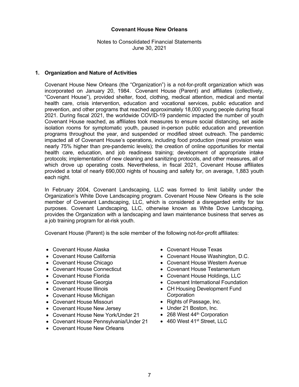Notes to Consolidated Financial Statements June 30, 2021

# **1. Organization and Nature of Activities**

Covenant House New Orleans (the "Organization") is a not-for-profit organization which was incorporated on January 20, 1984. Covenant House (Parent) and affiliates (collectively, "Covenant House"), provided shelter, food, clothing, medical attention, medical and mental health care, crisis intervention, education and vocational services, public education and prevention, and other programs that reached approximately 18,000 young people during fiscal 2021. During fiscal 2021, the worldwide COVID-19 pandemic impacted the number of youth Covenant House reached, as affiliates took measures to ensure social distancing, set aside isolation rooms for symptomatic youth, paused in-person public education and prevention programs throughout the year, and suspended or modified street outreach. The pandemic impacted all of Covenant House's operations, including food production (meal provision was nearly 75% higher than pre-pandemic levels); the creation of online opportunities for mental health care, education, and job readiness training; development of appropriate intake protocols; implementation of new cleaning and sanitizing protocols, and other measures, all of which drove up operating costs. Nevertheless, in fiscal 2021, Covenant House affiliates provided a total of nearly 690,000 nights of housing and safety for, on average, 1,883 youth each night.

In February 2004, Covenant Landscaping, LLC was formed to limit liability under the Organization's White Dove Landscaping program. Covenant House New Orleans is the sole member of Covenant Landscaping, LLC, which is considered a disregarded entity for tax purposes. Covenant Landscaping, LLC, otherwise known as White Dove Landscaping, provides the Organization with a landscaping and lawn maintenance business that serves as a job training program for at-risk youth.

Covenant House (Parent) is the sole member of the following not-for-profit affiliates:

- Covenant House Alaska
- Covenant House California
- Covenant House Chicago
- Covenant House Connecticut
- Covenant House Florida
- Covenant House Georgia
- Covenant House Illinois
- Covenant House Michigan
- Covenant House Missouri
- Covenant House New Jersey
- Covenant House New York/Under 21
- Covenant House Pennsylvania/Under 21
- Covenant House New Orleans
- Covenant House Texas
- Covenant House Washington, D.C.
- Covenant House Western Avenue
- Covenant House Testamentum
- Covenant House Holdings, LLC
- Covenant International Foundation
- CH Housing Development Fund **Corporation**
- Rights of Passage, Inc.
- Under 21 Boston, Inc.
- $\bullet$  268 West 44<sup>th</sup> Corporation
- 460 West 41<sup>st</sup> Street, LLC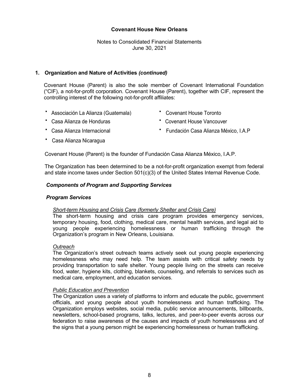Notes to Consolidated Financial Statements June 30, 2021

## **1. Organization and Nature of Activities** *(continued)*

Covenant House (Parent) is also the sole member of Covenant International Foundation ("CIF), a not-for-profit corporation. Covenant House (Parent), together with CIF, represent the controlling interest of the following not-for-profit affiliates:

- **ꞏ** Associación La Alianza (Guatemala) **ꞏ** Covenant House Toronto
- 
- **ꞏ** Casa Alianza de Honduras **ꞏ** Covenant House Vancouver
- 
- 
- **ꞏ** Casa Alianza Internacional **ꞏ** Fundación Casa Alianza México, I.A.P
- **ꞏ** Casa Alianza Nicaragua

Covenant House (Parent) is the founder of Fundación Casa Alianza México, I.A.P.

The Organization has been determined to be a not-for-profit organization exempt from federal and state income taxes under Section 501(c)(3) of the United States Internal Revenue Code.

## *Components of Program and Supporting Services*

## *Program Services*

## *Short-term Housing and Crisis Care (formerly Shelter and Crisis Care)*

The short-term housing and crisis care program provides emergency services, temporary housing, food, clothing, medical care, mental health services, and legal aid to young people experiencing homelessness or human trafficking through the Organization's program in New Orleans, Louisiana.

## *Outreach*

The Organization's street outreach teams actively seek out young people experiencing homelessness who may need help. The team assists with critical safety needs by providing transportation to safe shelter. Young people living on the streets can receive food, water, hygiene kits, clothing, blankets, counseling, and referrals to services such as medical care, employment, and education services.

## *Public Education and Prevention*

The Organization uses a variety of platforms to inform and educate the public, government officials, and young people about youth homelessness and human trafficking. The Organization employs websites, social media, public service announcements, billboards, newsletters, school-based programs, talks, lectures, and peer-to-peer events across our federation to raise awareness of the causes and impacts of youth homelessness and of the signs that a young person might be experiencing homelessness or human trafficking.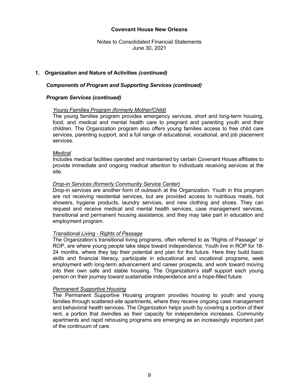Notes to Consolidated Financial Statements June 30, 2021

## **1. Organization and Nature of Activities** *(continued)*

## *Components of Program and Supporting Services (continued)*

## *Program Services (continued)*

## *Young Families Program (formerly Mother/Child)*

The young families program provides emergency services, short and long-term housing, food, and medical and mental health care to pregnant and parenting youth and their children. The Organization program also offers young families access to free child care services, parenting support, and a full range of educational, vocational, and job placement services.

## *Medical*

Includes medical facilities operated and maintained by certain Covenant House affiliates to provide immediate and ongoing medical attention to individuals receiving services at the site.

## *Drop-in Services (formerly Community Service Center)*

Drop-in services are another form of outreach at the Organization. Youth in this program are not receiving residential services, but are provided access to nutritious meals, hot showers, hygiene products, laundry services, and new clothing and shoes. They can request and receive medical and mental health services, case management services, transitional and permanent housing assistance, and they may take part in education and employment program.

## *Transitional Living - Rights of Passage*

The Organization's transitional living programs, often referred to as "Rights of Passage" or ROP, are where young people take steps toward independence. Youth live in ROP for 18- 24 months, where they tap their potential and plan for the future. Here they build basic skills and financial literacy, participate in educational and vocational programs, seek employment with long-term advancement and career prospects, and work toward moving into their own safe and stable housing. The Organization's staff support each young person on their journey toward sustainable independence and a hope-filled future.

## *Permanent Supportive Housing*

 The Permanent Supportive Housing program provides housing to youth and young families through scattered-site apartments, where they receive ongoing case management and behavioral health services. The Organization helps youth by covering a portion of their rent, a portion that dwindles as their capacity for independence increases. Community apartments and rapid rehousing programs are emerging as an increasingly important part of the continuum of care.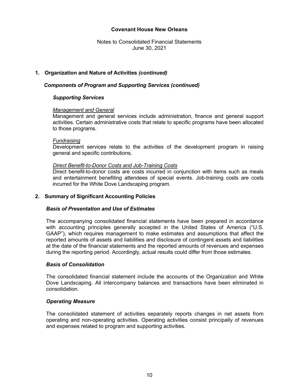Notes to Consolidated Financial Statements June 30, 2021

## **1. Organization and Nature of Activities** *(continued)*

## *Components of Program and Supporting Services (continued)*

## *Supporting Services*

## *Management and General*

Management and general services include administration, finance and general support activities. Certain administrative costs that relate to specific programs have been allocated to those programs.

#### *Fundraising*

Development services relate to the activities of the development program in raising general and specific contributions.

#### *Direct Benefit-to-Donor Costs and Job-Training Costs*

Direct benefit-to-donor costs are costs incurred in conjunction with items such as meals and entertainment benefiting attendees of special events. Job-training costs are costs incurred for the White Dove Landscaping program.

## **2. Summary of Significant Accounting Policies**

## *Basis of Presentation and Use of Estimates*

The accompanying consolidated financial statements have been prepared in accordance with accounting principles generally accepted in the United States of America ("U.S. GAAP"), which requires management to make estimates and assumptions that affect the reported amounts of assets and liabilities and disclosure of contingent assets and liabilities at the date of the financial statements and the reported amounts of revenues and expenses during the reporting period. Accordingly, actual results could differ from those estimates.

## *Basis of Consolidation*

The consolidated financial statement include the accounts of the Organization and White Dove Landscaping. All intercompany balances and transactions have been eliminated in consolidation.

## *Operating Measure*

The consolidated statement of activities separately reports changes in net assets from operating and non-operating activities. Operating activities consist principally of revenues and expenses related to program and supporting activities.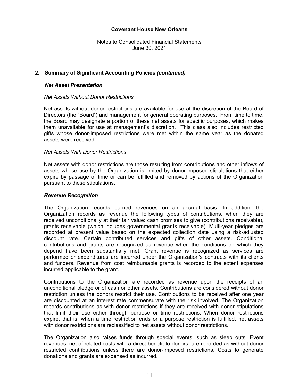Notes to Consolidated Financial Statements June 30, 2021

## **2. Summary of Significant Accounting Policies** *(continued)*

#### *Net Asset Presentation*

#### *Net Assets Without Donor Restrictions*

Net assets without donor restrictions are available for use at the discretion of the Board of Directors (the "Board") and management for general operating purposes. From time to time, the Board may designate a portion of these net assets for specific purposes, which makes them unavailable for use at management's discretion. This class also includes restricted gifts whose donor-imposed restrictions were met within the same year as the donated assets were received.

#### *Net Assets With Donor Restrictions*

Net assets with donor restrictions are those resulting from contributions and other inflows of assets whose use by the Organization is limited by donor-imposed stipulations that either expire by passage of time or can be fulfilled and removed by actions of the Organization pursuant to these stipulations.

#### *Revenue Recognition*

The Organization records earned revenues on an accrual basis. In addition, the Organization records as revenue the following types of contributions, when they are received unconditionally at their fair value: cash promises to give (contributions receivable), grants receivable (which includes governmental grants receivable). Multi-year pledges are recorded at present value based on the expected collection date using a risk-adjusted discount rate. Certain contributed services and gifts of other assets. Conditional contributions and grants are recognized as revenue when the conditions on which they depend have been substantially met. Grant revenue is recognized as services are performed or expenditures are incurred under the Organization's contracts with its clients and funders. Revenue from cost reimbursable grants is recorded to the extent expenses incurred applicable to the grant.

Contributions to the Organization are recorded as revenue upon the receipts of an unconditional pledge or of cash or other assets. Contributions are considered without donor restriction unless the donors restrict their use. Contributions to be received after one year are discounted at an interest rate commensurate with the risk involved. The Organization records contributions as with donor restrictions if they are received with donor stipulations that limit their use either through purpose or time restrictions. When donor restrictions expire, that is, when a time restriction ends or a purpose restriction is fulfilled, net assets with donor restrictions are reclassified to net assets without donor restrictions.

The Organization also raises funds through special events, such as sleep outs. Event revenues, net of related costs with a direct-benefit to donors, are recorded as without donor restricted contributions unless there are donor-imposed restrictions. Costs to generate donations and grants are expensed as incurred.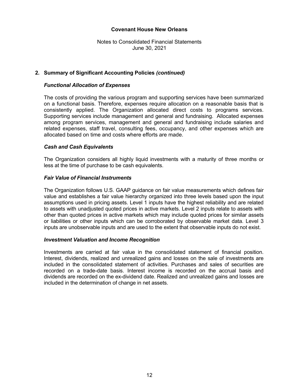Notes to Consolidated Financial Statements June 30, 2021

## **2. Summary of Significant Accounting Policies** *(continued)*

## *Functional Allocation of Expenses*

The costs of providing the various program and supporting services have been summarized on a functional basis. Therefore, expenses require allocation on a reasonable basis that is consistently applied. The Organization allocated direct costs to programs services. Supporting services include management and general and fundraising. Allocated expenses among program services, management and general and fundraising include salaries and related expenses, staff travel, consulting fees, occupancy, and other expenses which are allocated based on time and costs where efforts are made.

## *Cash and Cash Equivalents*

The Organization considers all highly liquid investments with a maturity of three months or less at the time of purchase to be cash equivalents.

## *Fair Value of Financial Instruments*

The Organization follows U.S. GAAP guidance on fair value measurements which defines fair value and establishes a fair value hierarchy organized into three levels based upon the input assumptions used in pricing assets. Level 1 inputs have the highest reliability and are related to assets with unadjusted quoted prices in active markets. Level 2 inputs relate to assets with other than quoted prices in active markets which may include quoted prices for similar assets or liabilities or other inputs which can be corroborated by observable market data. Level 3 inputs are unobservable inputs and are used to the extent that observable inputs do not exist.

## *Investment Valuation and Income Recognition*

Investments are carried at fair value in the consolidated statement of financial position. Interest, dividends, realized and unrealized gains and losses on the sale of investments are included in the consolidated statement of activities. Purchases and sales of securities are recorded on a trade-date basis. Interest income is recorded on the accrual basis and dividends are recorded on the ex-dividend date. Realized and unrealized gains and losses are included in the determination of change in net assets.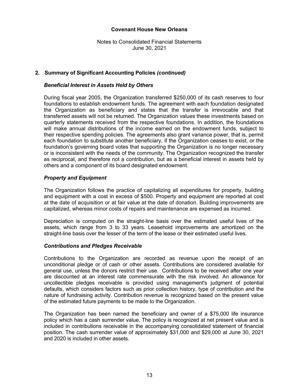Notes to Consolidated Financial Statements June 30, 2021

# **2. Summary of Significant Accounting Policies** *(continued)*

## *Beneficial Interest in Assets Held by Others*

During fiscal year 2005, the Organization transferred \$250,000 of its cash reserves to four foundations to establish endowment funds. The agreement with each foundation designated the Organization as beneficiary and states that the transfer is irrevocable and that transferred assets will not be returned. The Organization values these investments based on quarterly statements received from the respective foundations. In addition, the foundations will make annual distributions of the income earned on the endowment funds, subject to their respective spending policies. The agreements also grant variance power, that is, permit each foundation to substitute another beneficiary, if the Organization ceases to exist, or the foundation's governing board votes that supporting the Organization is no longer necessary or is inconsistent with the needs of the community. The Organization recognized the transfer as reciprocal, and therefore not a contribution, but as a beneficial interest in assets held by others and a component of its board designated endowment.

# *Property and Equipment*

 The Organization follows the practice of capitalizing all expenditures for property, building and equipment with a cost in excess of \$500. Property and equipment are reported at cost at the date of acquisition or at fair value at the date of donation. Building improvements are capitalized, whereas minor costs of repairs and maintenance are expensed as incurred.

Depreciation is computed on the straight-line basis over the estimated useful lives of the assets, which range from 3 to 33 years. Leasehold improvements are amortized on the straight-line basis over the lesser of the term of the lease or their estimated useful lives.

## *Contributions and Pledges Receivable*

Contributions to the Organization are recorded as revenue upon the receipt of an unconditional pledge or of cash or other assets. Contributions are considered available for general use, unless the donors restrict their use. Contributions to be received after one year are discounted at an interest rate commensurate with the risk involved. An allowance for uncollectible pledges receivable is provided using management's judgment of potential defaults, which considers factors such as prior collection history, type of contribution and the nature of fundraising activity. Contribution revenue is recognized based on the present value of the estimated future payments to be made to the Organization.

The Organization has been named the beneficiary and owner of a \$75,000 life insurance policy which has a cash surrender value. The policy is recognized at net present value and is included in contributions receivable in the accompanying consolidated statement of financial position. The cash surrender value of approximately \$31,000 and \$29,000 at June 30, 2021 and 2020 is included in other assets.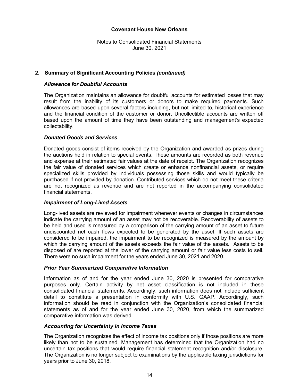Notes to Consolidated Financial Statements June 30, 2021

## **2. Summary of Significant Accounting Policies** *(continued)*

## *Allowance for Doubtful Accounts*

The Organization maintains an allowance for doubtful accounts for estimated losses that may result from the inability of its customers or donors to make required payments. Such allowances are based upon several factors including, but not limited to, historical experience and the financial condition of the customer or donor. Uncollectible accounts are written off based upon the amount of time they have been outstanding and management's expected collectability.

## *Donated Goods and Services*

Donated goods consist of items received by the Organization and awarded as prizes during the auctions held in relation to special events. These amounts are recorded as both revenue and expense at their estimated fair values at the date of receipt. The Organization recognizes the fair value of donated services which create or enhance nonfinancial assets, or require specialized skills provided by individuals possessing those skills and would typically be purchased if not provided by donation. Contributed services which do not meet these criteria are not recognized as revenue and are not reported in the accompanying consolidated financial statements.

## *Impairment of Long-Lived Assets*

Long-lived assets are reviewed for impairment whenever events or changes in circumstances indicate the carrying amount of an asset may not be recoverable. Recoverability of assets to be held and used is measured by a comparison of the carrying amount of an asset to future undiscounted net cash flows expected to be generated by the asset. If such assets are considered to be impaired, the impairment to be recognized is measured by the amount by which the carrying amount of the assets exceeds the fair value of the assets. Assets to be disposed of are reported at the lower of the carrying amount or fair value less costs to sell. There were no such impairment for the years ended June 30, 2021 and 2020.

## *Prior Year Summarized Comparative Information*

Information as of and for the year ended June 30, 2020 is presented for comparative purposes only. Certain activity by net asset classification is not included in these consolidated financial statements. Accordingly, such information does not include sufficient detail to constitute a presentation in conformity with U.S. GAAP. Accordingly, such information should be read in conjunction with the Organization's consolidated financial statements as of and for the year ended June 30, 2020, from which the summarized comparative information was derived.

## *Accounting for Uncertainty in Income Taxes*

The Organization recognizes the effect of income tax positions only if those positions are more likely than not to be sustained. Management has determined that the Organization had no uncertain tax positions that would require financial statement recognition and/or disclosure. The Organization is no longer subject to examinations by the applicable taxing jurisdictions for years prior to June 30, 2018.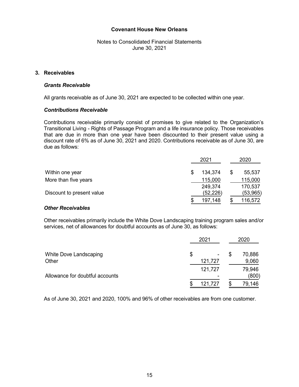Notes to Consolidated Financial Statements June 30, 2021

## **3. Receivables**

#### *Grants Receivable*

All grants receivable as of June 30, 2021 are expected to be collected within one year.

## *Contributions Receivable*

Contributions receivable primarily consist of promises to give related to the Organization's Transitional Living - Rights of Passage Program and a life insurance policy. Those receivables that are due in more than one year have been discounted to their present value using a discount rate of 6% as of June 30, 2021 and 2020. Contributions receivable as of June 30, are due as follows:

|                           |   | 2021                | 2020                |
|---------------------------|---|---------------------|---------------------|
| Within one year           | S | 134,374             | \$<br>55,537        |
| More than five years      |   | 115,000             | 115,000             |
| Discount to present value |   | 249,374<br>(52,226) | 170,537<br>(53,965) |
|                           |   | 197,148             | 116,572             |

## *Other Receivables*

Other receivables primarily include the White Dove Landscaping training program sales and/or services, net of allowances for doubtful accounts as of June 30, as follows:

|                                 |    | 2021    |   | 2020   |
|---------------------------------|----|---------|---|--------|
| White Dove Landscaping          | \$ | ۰       | S | 70,886 |
| Other                           |    | 121,727 |   | 9,060  |
|                                 |    | 121,727 |   | 79,946 |
| Allowance for doubtful accounts |    |         |   | (800)  |
|                                 | S  | 121,727 | S | 79,146 |

As of June 30, 2021 and 2020, 100% and 96% of other receivables are from one customer.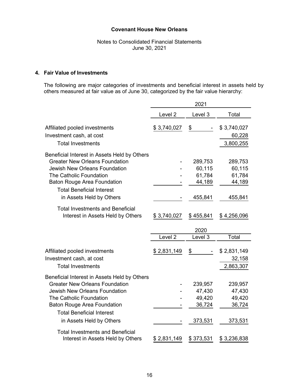Notes to Consolidated Financial Statements June 30, 2021

# **4. Fair Value of Investments**

The following are major categories of investments and beneficial interest in assets held by others measured at fair value as of June 30, categorized by the fair value hierarchy:

|                                              | 2021               |           |             |  |  |
|----------------------------------------------|--------------------|-----------|-------------|--|--|
|                                              | Level <sub>2</sub> | Level 3   | Total       |  |  |
| Affiliated pooled investments                | \$3,740,027        | \$        | \$3,740,027 |  |  |
| Investment cash, at cost                     |                    |           | 60,228      |  |  |
| <b>Total Investments</b>                     |                    |           | 3,800,255   |  |  |
| Beneficial Interest in Assets Held by Others |                    |           |             |  |  |
| <b>Greater New Orleans Foundation</b>        |                    | 289,753   | 289,753     |  |  |
| <b>Jewish New Orleans Foundation</b>         |                    | 60,115    | 60,115      |  |  |
| The Catholic Foundation                      |                    | 61,784    | 61,784      |  |  |
| <b>Baton Rouge Area Foundation</b>           |                    | 44,189    | 44,189      |  |  |
| <b>Total Beneficial Interest</b>             |                    |           |             |  |  |
| in Assets Held by Others                     |                    | 455,841   | 455,841     |  |  |
| <b>Total Investments and Beneficial</b>      |                    |           |             |  |  |
| Interest in Assets Held by Others            | \$3,740,027        | \$455,841 | \$4,256,096 |  |  |
|                                              |                    | 2020      |             |  |  |
|                                              | Level <sub>2</sub> | Level 3   | Total       |  |  |
|                                              |                    |           |             |  |  |
| Affiliated pooled investments                | \$2,831,149        | \$        | \$2,831,149 |  |  |
| Investment cash, at cost                     |                    |           | 32,158      |  |  |
| <b>Total Investments</b>                     |                    |           | 2,863,307   |  |  |
| Beneficial Interest in Assets Held by Others |                    |           |             |  |  |
| <b>Greater New Orleans Foundation</b>        |                    | 239,957   | 239,957     |  |  |
| <b>Jewish New Orleans Foundation</b>         |                    | 47,430    | 47,430      |  |  |
| The Catholic Foundation                      |                    | 49,420    | 49,420      |  |  |
| <b>Baton Rouge Area Foundation</b>           |                    | 36,724    | 36,724      |  |  |
| <b>Total Beneficial Interest</b>             |                    |           |             |  |  |
| in Assets Held by Others                     |                    | 373,531   | 373,531     |  |  |
| <b>Total Investments and Beneficial</b>      |                    |           |             |  |  |
| Interest in Assets Held by Others            | \$2,831,149        | \$373,531 | \$3,236,838 |  |  |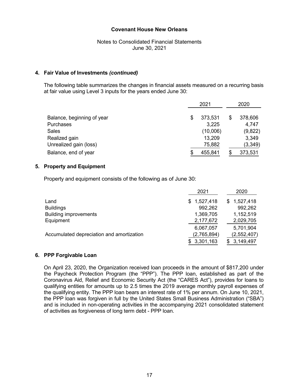Notes to Consolidated Financial Statements June 30, 2021

## **4. Fair Value of Investments** *(continued)*

 The following table summarizes the changes in financial assets measured on a recurring basis at fair value using Level 3 inputs for the years ended June 30:

|                            |    | 2021     |    | 2020     |
|----------------------------|----|----------|----|----------|
|                            |    |          |    |          |
| Balance, beginning of year | \$ | 373,531  | \$ | 378,606  |
| Purchases                  |    | 3,225    |    | 4,747    |
| <b>Sales</b>               |    | (10,006) |    | (9,822)  |
| Realized gain              |    | 13,209   |    | 3,349    |
| Unrealized gain (loss)     |    | 75,882   |    | (3, 349) |
| Balance, end of year       | S  | 455,841  |    | 373,531  |

## **5. Property and Equipment**

Property and equipment consists of the following as of June 30:

|                                           | 2021             | 2020            |
|-------------------------------------------|------------------|-----------------|
| Land                                      | 1,527,418<br>SS. | 1,527,418<br>\$ |
| <b>Buildings</b>                          | 992,262          | 992,262         |
| <b>Building improvements</b>              | 1,369,705        | 1,152,519       |
| Equipment                                 | 2,177,672        | 2,029,705       |
|                                           | 6,067,057        | 5,701,904       |
| Accumulated depreciation and amortization | (2,765,894)      | (2, 552, 407)   |
|                                           | \$3,301,163      | 3,149,497       |

#### **6. PPP Forgivable Loan**

On April 23, 2020, the Organization received loan proceeds in the amount of \$817,200 under the Paycheck Protection Program (the "PPP"). The PPP loan, established as part of the Coronavirus Aid, Relief and Economic Security Act (the "CARES Act"), provides for loans to qualifying entities for amounts up to 2.5 times the 2019 average monthly payroll expenses of the qualifying entity. The PPP loan bears an interest rate of 1% per annum. On June 10, 2021, the PPP loan was forgiven in full by the United States Small Business Administration ("SBA") and is included in non-operating activities in the accompanying 2021 consolidated statement of activities as forgiveness of long term debt - PPP loan.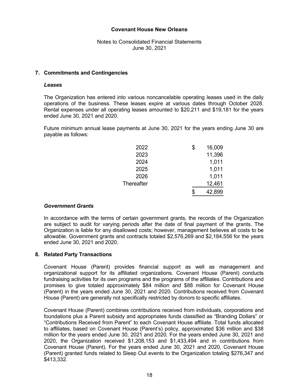Notes to Consolidated Financial Statements June 30, 2021

# **7. Commitments and Contingencies**

## *Leases*

The Organization has entered into various noncancelable operating leases used in the daily operations of the business. These leases expire at various dates through October 2028. Rental expenses under all operating leases amounted to \$20,211 and \$19,181 for the years ended June 30, 2021 and 2020.

Future minimum annual lease payments at June 30, 2021 for the years ending June 30 are payable as follows:

| 2022              | S | 16,009 |
|-------------------|---|--------|
| 2023              |   | 11,396 |
| 2024              |   | 1,011  |
| 2025              |   | 1,011  |
| 2026              |   | 1,011  |
| <b>Thereafter</b> |   | 12,461 |
|                   |   | 42,899 |

## *Government Grants*

In accordance with the terms of certain government grants, the records of the Organization are subject to audit for varying periods after the date of final payment of the grants. The Organization is liable for any disallowed costs; however, management believes all costs to be allowable. Government grants and contracts totaled \$2,576,269 and \$2,184,556 for the years ended June 30, 2021 and 2020.

## **8. Related Party Transactions**

Covenant House (Parent) provides financial support as well as management and organizational support for its affiliated organizations. Covenant House (Parent) conducts fundraising activities for its own programs and the programs of the affiliates. Contributions and promises to give totaled approximately \$84 million and \$88 million for Covenant House (Parent) in the years ended June 30, 2021 and 2020. Contributions received from Covenant House (Parent) are generally not specifically restricted by donors to specific affiliates.

Covenant House (Parent) combines contributions received from individuals, corporations and foundations plus a Parent subsidy and appropriates funds classified as "Branding Dollars" or "Contributions Received from Parent" to each Covenant House affiliate. Total funds allocated to affiliates, based on Covenant House (Parent's) policy, approximated \$36 million and \$38 million for the years ended June 30, 2021 and 2020. For the years ended June 30, 2021 and 2020, the Organization received \$1,208,153 and \$1,433,494 and in contributions from Covenant House (Parent). For the years ended June 30, 2021 and 2020, Covenant House (Parent) granted funds related to Sleep Out events to the Organization totaling \$276,347 and \$413,332.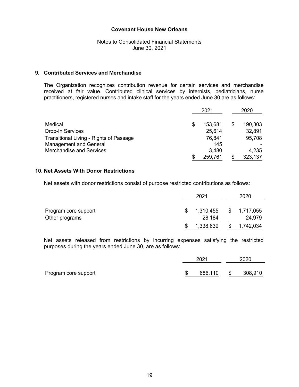## Notes to Consolidated Financial Statements June 30, 2021

#### **9. Contributed Services and Merchandise**

The Organization recognizes contribution revenue for certain services and merchandise received at fair value. Contributed clinical services by internists, pediatricians, nurse practitioners, registered nurses and intake staff for the years ended June 30 are as follows:

|                                         | 2021    | 2020    |
|-----------------------------------------|---------|---------|
| Medical                                 | 153,681 | 190,303 |
| <b>Drop-In Services</b>                 | 25,614  | 32,891  |
| Transitional Living - Rights of Passage | 76,841  | 95,708  |
| <b>Management and General</b>           | 145     |         |
| Merchandise and Services                | 3,480   | 4,235   |
|                                         | 259,761 | 323,137 |

# **10. Net Assets With Donor Restrictions**

Net assets with donor restrictions consist of purpose restricted contributions as follows:

|                                        | 2021                | 2020                   |
|----------------------------------------|---------------------|------------------------|
| Program core support<br>Other programs | 1,310,455<br>28,184 | \$ 1,717,055<br>24,979 |
|                                        | 1,338,639           | 1,742,034              |

Net assets released from restrictions by incurring expenses satisfying the restricted purposes during the years ended June 30, are as follows:

|                      | 2021    |    | 2020    |  |
|----------------------|---------|----|---------|--|
| Program core support | 686,110 | \$ | 308,910 |  |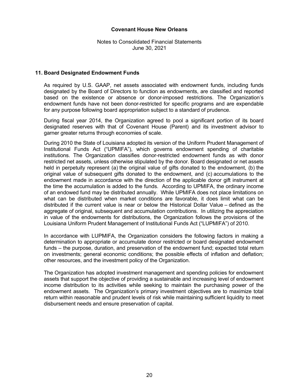Notes to Consolidated Financial Statements June 30, 2021

## **11. Board Designated Endowment Funds**

As required by U.S. GAAP, net assets associated with endowment funds, including funds designated by the Board of Directors to function as endowments, are classified and reported based on the existence or absence or donor-imposed restrictions. The Organization's endowment funds have not been donor-restricted for specific programs and are expendable for any purpose following board appropriation subject to a standard of prudence.

During fiscal year 2014, the Organization agreed to pool a significant portion of its board designated reserves with that of Covenant House (Parent) and its investment advisor to garner greater returns through economies of scale.

During 2010 the State of Louisiana adopted its version of the Uniform Prudent Management of Institutional Funds Act ("UPMIFA"), which governs endowment spending of charitable institutions. The Organization classifies donor-restricted endowment funds as with donor restricted net assets, unless otherwise stipulated by the donor. Board designated or net assets held in perpetuity represent (a) the original value of gifts donated to the endowment, (b) the original value of subsequent gifts donated to the endowment, and (c) accumulations to the endowment made in accordance with the direction of the applicable donor gift instrument at the time the accumulation is added to the funds. According to UPMIFA, the ordinary income of an endowed fund may be distributed annually. While UPMIFA does not place limitations on what can be distributed when market conditions are favorable, it does limit what can be distributed if the current value is near or below the Historical Dollar Value – defined as the aggregate of original, subsequent and accumulation contributions. In utilizing the appreciation in value of the endowments for distributions, the Organization follows the provisions of the Louisiana Uniform Prudent Management of Institutional Funds Act ("LUPMIFA") of 2010.

In accordance with LUPMIFA, the Organization considers the following factors in making a determination to appropriate or accumulate donor restricted or board designated endowment funds – the purpose, duration, and preservation of the endowment fund; expected total return on investments; general economic conditions; the possible effects of inflation and deflation; other resources, and the investment policy of the Organization.

The Organization has adopted investment management and spending policies for endowment assets that support the objective of providing a sustainable and increasing level of endowment income distribution to its activities while seeking to maintain the purchasing power of the endowment assets. The Organization's primary investment objectives are to maximize total return within reasonable and prudent levels of risk while maintaining sufficient liquidity to meet disbursement needs and ensure preservation of capital.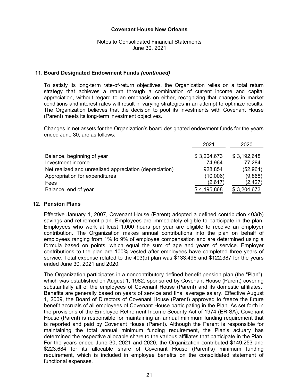# Notes to Consolidated Financial Statements June 30, 2021

## **11. Board Designated Endowment Funds** *(continued)*

To satisfy its long-term rate-of-return objectives, the Organization relies on a total return strategy that achieves a return through a combination of current income and capital appreciation, without regard to an emphasis on either, recognizing that changes in market conditions and interest rates will result in varying strategies in an attempt to optimize results. The Organization believes that the decision to pool its investments with Covenant House (Parent) meets its long-term investment objectives.

Changes in net assets for the Organization's board designated endowment funds for the years ended June 30, are as follows:

|                                                         | 2021        | 2020        |
|---------------------------------------------------------|-------------|-------------|
|                                                         |             |             |
| Balance, beginning of year                              | \$3,204,673 | \$3,192,648 |
| Investment income                                       | 74.964      | 77,284      |
| Net realized and unrealized appreciation (depreciation) | 928,854     | (52, 964)   |
| Appropriation for expenditures                          | (10,006)    | (9,868)     |
| Fees                                                    | (2,617)     | (2, 427)    |
| Balance, end of year                                    | \$4,195,868 | \$3,204,673 |

## **12. Pension Plans**

Effective January 1, 2007, Covenant House (Parent) adopted a defined contribution 403(b) savings and retirement plan. Employees are immediately eligible to participate in the plan. Employees who work at least 1,000 hours per year are eligible to receive an employer contribution. The Organization makes annual contributions into the plan on behalf of employees ranging from 1% to 9% of employee compensation and are determined using a formula based on points, which equal the sum of age and years of service. Employer contributions to the plan are 100% vested after employees have completed three years of service. Total expense related to the 403(b) plan was \$133,496 and \$122,387 for the years ended June 30, 2021 and 2020.

The Organization participates in a noncontributory defined benefit pension plan (the "Plan"), which was established on August 1, 1982, sponsored by Covenant House (Parent) covering substantially all of the employees of Covenant House (Parent) and its domestic affiliates. Benefits are generally based on years of service and final average salary. Effective August 1, 2009, the Board of Directors of Covenant House (Parent) approved to freeze the future benefit accruals of all employees of Covenant House participating in the Plan. As set forth in the provisions of the Employee Retirement Income Security Act of 1974 (ERISA), Covenant House (Parent) is responsible for maintaining an annual minimum funding requirement that is reported and paid by Covenant House (Parent). Although the Parent is responsible for maintaining the total annual minimum funding requirement, the Plan's actuary has determined the respective allocable share to the various affiliates that participate in the Plan. For the years ended June 30, 2021 and 2020, the Organization contributed \$149,253 and \$223,684 for its allocable share of Covenant House (Parent's) minimum funding requirement, which is included in employee benefits on the consolidated statement of functional expenses.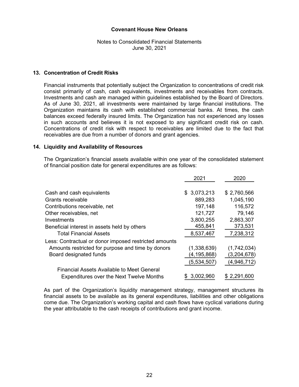Notes to Consolidated Financial Statements June 30, 2021

## **13. Concentration of Credit Risks**

Financial instruments that potentially subject the Organization to concentrations of credit risk consist primarily of cash, cash equivalents, investments and receivables from contracts. Investments and cash are managed within guidelines established by the Board of Directors. As of June 30, 2021, all investments were maintained by large financial institutions. The Organization maintains its cash with established commercial banks. At times, the cash balances exceed federally insured limits. The Organization has not experienced any losses in such accounts and believes it is not exposed to any significant credit risk on cash. Concentrations of credit risk with respect to receivables are limited due to the fact that receivables are due from a number of donors and grant agencies.

## **14. Liquidity and Availability of Resources**

The Organization's financial assets available within one year of the consolidated statement of financial position date for general expenditures are as follows:

|                                                       | 2021          | 2020        |
|-------------------------------------------------------|---------------|-------------|
| Cash and cash equivalents                             | \$3,073,213   | \$2,760,566 |
| Grants receivable                                     | 889,283       | 1,045,190   |
| Contributions receivable, net                         | 197,148       | 116,572     |
| Other receivables, net                                | 121,727       | 79,146      |
| Investments                                           | 3,800,255     | 2,863,307   |
| Beneficial interest in assets held by others          | 455,841       | 373,531     |
| <b>Total Financial Assets</b>                         | 8,537,467     | 7,238,312   |
| Less: Contractual or donor imposed restricted amounts |               |             |
| Amounts restricted for purpose and time by donors     | (1,338,639)   | (1,742,034) |
| Board designated funds                                | (4, 195, 868) | (3,204,678) |
|                                                       | (5,534,507)   | (4,946,712) |
| <b>Financial Assets Available to Meet General</b>     |               |             |
| <b>Expenditures over the Next Twelve Months</b>       | 3,002,960     | \$2,291,600 |

As part of the Organization's liquidity management strategy, management structures its financial assets to be available as its general expenditures, liabilities and other obligations come due. The Organization's working capital and cash flows have cyclical variations during the year attributable to the cash receipts of contributions and grant income.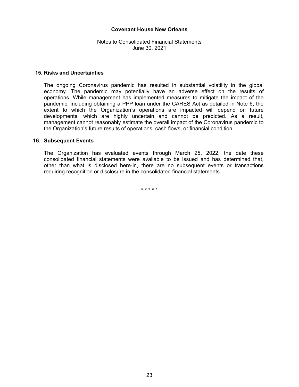Notes to Consolidated Financial Statements June 30, 2021

## **15. Risks and Uncertainties**

The ongoing Coronavirus pandemic has resulted in substantial volatility in the global economy. The pandemic may potentially have an adverse effect on the results of operations. While management has implemented measures to mitigate the impact of the pandemic, including obtaining a PPP loan under the CARES Act as detailed in Note 6, the extent to which the Organization's operations are impacted will depend on future developments, which are highly uncertain and cannot be predicted. As a result, management cannot reasonably estimate the overall impact of the Coronavirus pandemic to the Organization's future results of operations, cash flows, or financial condition.

#### **16. Subsequent Events**

The Organization has evaluated events through March 25, 2022, the date these consolidated financial statements were available to be issued and has determined that, other than what is disclosed here-in, there are no subsequent events or transactions requiring recognition or disclosure in the consolidated financial statements.

\* \* \* \* \*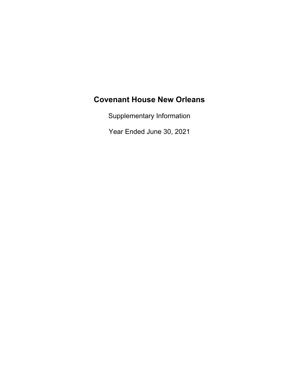Supplementary Information

Year Ended June 30, 2021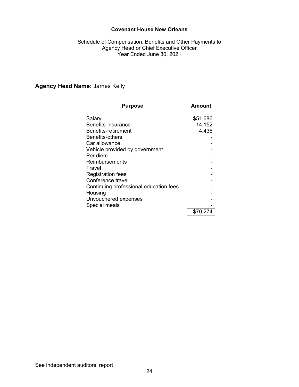# Schedule of Compensation, Benefits and Other Payments to Agency Head or Chief Executive Officer Year Ended June 30, 2021

# **Agency Head Name:** James Kelly

| Purpose                                | Amount   |
|----------------------------------------|----------|
|                                        |          |
| Salary                                 | \$51,686 |
| Benefits-insurance                     | 14,152   |
| <b>Benefits-retirement</b>             | 4,436    |
| <b>Benefits-others</b>                 |          |
| Car allowance                          |          |
| Vehicle provided by government         |          |
| Per diem                               |          |
| Reimbursements                         |          |
| Travel                                 |          |
| <b>Registration fees</b>               |          |
| Conference travel                      |          |
| Continuing professional education fees |          |
| Housing                                |          |
| Unvouchered expenses                   |          |
| Special meals                          |          |
|                                        | \$70,274 |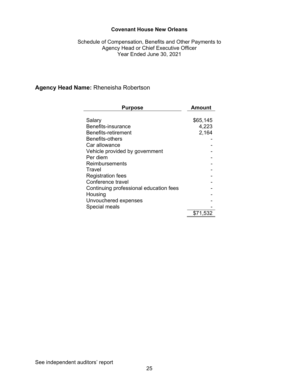# Schedule of Compensation, Benefits and Other Payments to Agency Head or Chief Executive Officer Year Ended June 30, 2021

# **Agency Head Name:** Rheneisha Robertson

| <b>Purpose</b>                         | Amount   |
|----------------------------------------|----------|
|                                        |          |
| Salary                                 | \$65,145 |
| Benefits-insurance                     | 4,223    |
| Benefits-retirement                    | 2,164    |
| Benefits-others                        |          |
| Car allowance                          |          |
| Vehicle provided by government         |          |
| Per diem                               |          |
| Reimbursements                         |          |
| Travel                                 |          |
| <b>Registration fees</b>               |          |
| Conference travel                      |          |
| Continuing professional education fees |          |
| Housing                                |          |
| Unvouchered expenses                   |          |
| Special meals                          |          |
|                                        | \$71,532 |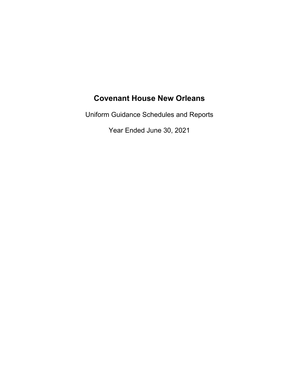Uniform Guidance Schedules and Reports

Year Ended June 30, 2021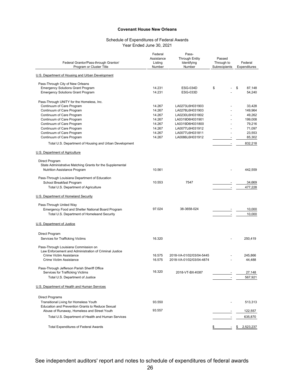#### **Covenant House New Orleans Covenant House New Orleans**

#### Schedule of Expenditures of Federal Awards Year Ended June 30, 2021 Schedule of Expenditures of Federal Awards

| Federal Grantor/Pass-through Grantor/<br>Program or Cluster Title                                 | Federal<br>Assistance<br>Listing<br>Number | Pass-<br><b>Through Entity</b><br>Identifying<br>Number | Passed<br>Through to<br>Subrecipients | Federal<br>Expenditures |
|---------------------------------------------------------------------------------------------------|--------------------------------------------|---------------------------------------------------------|---------------------------------------|-------------------------|
| U.S. Department of Housing and Urban Development                                                  |                                            |                                                         |                                       |                         |
| Pass-Through City of New Orleans                                                                  |                                            |                                                         |                                       |                         |
| <b>Emergency Solutions Grant Program</b>                                                          | 14.231                                     | <b>ESG-034D</b>                                         | \$                                    | \$<br>87,148            |
| <b>Emergency Solutions Grant Program</b>                                                          | 14.231                                     | <b>ESG-033D</b>                                         |                                       | 54,240                  |
| Pass-Through UNITY for the Homeless, Inc.                                                         |                                            |                                                         |                                       |                         |
| Continuum of Care Program                                                                         | 14.267                                     | LA0273L6H031903                                         |                                       | 33,428                  |
| Continuum of Care Program                                                                         | 14.267                                     | LA0278L6H031903                                         |                                       | 149,964                 |
| Continuum of Care Program                                                                         | 14.267                                     | LA0230L6H031802                                         |                                       | 49.262                  |
| Continuum of Care Program                                                                         | 14.267                                     | LA0319D6H031901                                         |                                       | 199,008                 |
| Continuum of Care Program                                                                         | 14.267                                     | LA0319D6H031800                                         |                                       | 79,216                  |
| Continuum of Care Program                                                                         | 14.267                                     | LA0077L6H031912                                         |                                       | 71,097                  |
| Continuum of Care Program                                                                         | 14.267                                     | LA0077L6H031811                                         |                                       | 23,553                  |
| Continuum of Care Program                                                                         | 14.267                                     | LA0086L6H031912                                         |                                       | 85,302                  |
| Total U.S. Department of Housing and Urban Development                                            |                                            |                                                         |                                       | 832,218                 |
| U.S. Department of Agriculture                                                                    |                                            |                                                         |                                       |                         |
| Direct Program                                                                                    |                                            |                                                         |                                       |                         |
| State Administrative Matching Grants for the Supplemental                                         |                                            |                                                         |                                       |                         |
| Nutrition Assistance Program                                                                      | 10.561                                     |                                                         |                                       | 442,559                 |
| Pass-Through Louisiana Department of Education                                                    |                                            |                                                         |                                       |                         |
| School Breakfast Program                                                                          | 10.553                                     | 7547                                                    |                                       | 34,669                  |
| Total U.S. Department of Agriculture                                                              |                                            |                                                         |                                       | 477,228                 |
| U.S. Department of Homeland Security                                                              |                                            |                                                         |                                       |                         |
| Pass-Through United Way                                                                           |                                            |                                                         |                                       |                         |
| Emergency Food and Shelter National Board Program                                                 | 97.024                                     | 38-3658-024                                             |                                       | 10,000                  |
| Total U.S. Department of Homeleand Security                                                       |                                            |                                                         | $\overline{\phantom{a}}$              | 10,000                  |
| U.S. Department of Justice                                                                        |                                            |                                                         |                                       |                         |
| Direct Program                                                                                    |                                            |                                                         |                                       |                         |
| Services for Trafficking Victims                                                                  | 16.320                                     |                                                         |                                       |                         |
|                                                                                                   |                                            |                                                         |                                       | 250,419                 |
| Pass-Through Louisiana Commission on                                                              |                                            |                                                         |                                       |                         |
| Law Enforcement and Administration of Criminal Justice                                            |                                            |                                                         |                                       |                         |
| Crime Victim Assistance                                                                           | 16.575                                     | 2018-VA-01/02/03/04-5445                                |                                       | 245,866                 |
| Crime Victim Assistance                                                                           | 16.575                                     | 2018-VA-01/02/03/04-4874                                |                                       | 44,488                  |
| Pass-Through Jefferson Parish Sheriff Office                                                      |                                            |                                                         |                                       |                         |
| Services for Trafficking Victims                                                                  | 16.320                                     | 2018-VT-BX-K087                                         |                                       | 27,148                  |
| Total U.S. Department of Justice                                                                  |                                            |                                                         |                                       | 567,921                 |
| U.S. Department of Health and Human Services                                                      |                                            |                                                         |                                       |                         |
|                                                                                                   |                                            |                                                         |                                       |                         |
| <b>Direct Programs</b>                                                                            |                                            |                                                         |                                       |                         |
| <b>Transitional Living for Homeless Youth</b><br>Education and Prevention Grants to Reduce Sexual | 93.550                                     |                                                         |                                       | 513,313                 |
| Abuse of Runaway, Homeless and Street Youth                                                       | 93.557                                     |                                                         |                                       | 122,557                 |
|                                                                                                   |                                            |                                                         |                                       |                         |
| Total U.S. Department of Health and Human Services                                                |                                            |                                                         |                                       | 635,870                 |
| <b>Total Expenditures of Federal Awards</b>                                                       |                                            |                                                         |                                       | 2,523,237<br>\$         |
|                                                                                                   |                                            |                                                         |                                       |                         |

See independent auditors' report and notes to schedule of expenditures of federal awards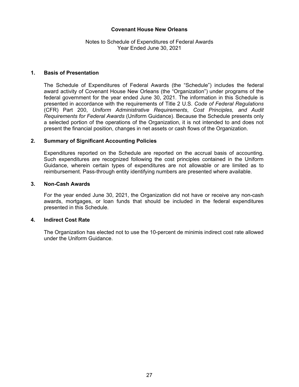## Notes to Schedule of Expenditures of Federal Awards Year Ended June 30, 2021

## **1. Basis of Presentation**

The Schedule of Expenditures of Federal Awards (the "Schedule") includes the federal award activity of Covenant House New Orleans (the "Organization") under programs of the federal government for the year ended June 30, 2021. The information in this Schedule is presented in accordance with the requirements of Title 2 U.S. *Code of Federal Regulations* (CFR) Part 200, *Uniform Administrative Requirements*, *Cost Principles, and Audit Requirements for Federal Awards* (Uniform Guidance). Because the Schedule presents only a selected portion of the operations of the Organization, it is not intended to and does not present the financial position, changes in net assets or cash flows of the Organization.

## **2. Summary of Significant Accounting Policies**

Expenditures reported on the Schedule are reported on the accrual basis of accounting. Such expenditures are recognized following the cost principles contained in the Uniform Guidance, wherein certain types of expenditures are not allowable or are limited as to reimbursement. Pass-through entity identifying numbers are presented where available.

#### **3. Non-Cash Awards**

For the year ended June 30, 2021, the Organization did not have or receive any non-cash awards, mortgages, or loan funds that should be included in the federal expenditures presented in this Schedule.

## **4. Indirect Cost Rate**

The Organization has elected not to use the 10-percent de minimis indirect cost rate allowed under the Uniform Guidance.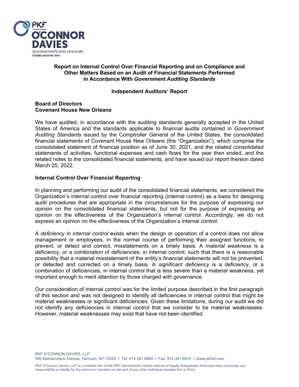

## **Report on Internal Control Over Financial Reporting and on Compliance and Other Matters Based on an Audit of Financial Statements Performed in Accordance With** *Government Auditing Standards*

## **Independent Auditors' Report**

## **Board of Directors Covenant House New Orleans**

We have audited, in accordance with the auditing standards generally accepted in the United States of America and the standards applicable to financial audits contained in *Government Auditing Standards* issued by the Comptroller General of the United States, the consolidated financial statements of Covenant House New Orleans (the "Organization"), which comprise the consolidated statement of financial position as of June 30, 2021, and the related consolidated statements of activities, functional expenses and cash flows for the year then ended, and the related notes to the consolidated financial statements, and have issued our report thereon dated March 25, 2022.

## **Internal Control Over Financial Reporting**

In planning and performing our audit of the consolidated financial statements, we considered the Organization's internal control over financial reporting (internal control) as a basis for designing audit procedures that are appropriate in the circumstances for the purpose of expressing our opinion on the consolidated financial statements, but not for the purpose of expressing an opinion on the effectiveness of the Organization's internal control. Accordingly, we do not express an opinion on the effectiveness of the Organization's internal control.

A *deficiency in internal control* exists when the design or operation of a control does not allow management or employees, in the normal course of performing their assigned functions, to prevent, or detect and correct, misstatements on a timely basis. A *material weakness* is a deficiency, or a combination of deficiencies, in internal control, such that there is a reasonable possibility that a material misstatement of the entity's financial statements will not be prevented, or detected and corrected on a timely basis. A *significant deficiency* is a deficiency, or a combination of deficiencies, in internal control that is less severe than a material weakness, yet important enough to merit attention by those charged with governance.

Our consideration of internal control was for the limited purpose described in the first paragraph of this section and was not designed to identify all deficiencies in internal control that might be material weaknesses or significant deficiencies. Given these limitations, during our audit we did not identify any deficiencies in internal control that we consider to be material weaknesses. However, material weaknesses may exist that have not been identified.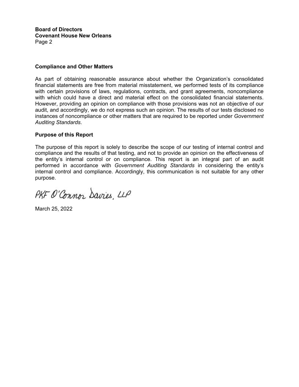**Board of Directors Covenant House New Orleans**  Page 2

#### **Compliance and Other Matters**

As part of obtaining reasonable assurance about whether the Organization's consolidated financial statements are free from material misstatement, we performed tests of its compliance with certain provisions of laws, regulations, contracts, and grant agreements, noncompliance with which could have a direct and material effect on the consolidated financial statements. However, providing an opinion on compliance with those provisions was not an objective of our audit, and accordingly, we do not express such an opinion. The results of our tests disclosed no instances of noncompliance or other matters that are required to be reported under *Government Auditing Standards*.

## **Purpose of this Report**

The purpose of this report is solely to describe the scope of our testing of internal control and compliance and the results of that testing, and not to provide an opinion on the effectiveness of the entity's internal control or on compliance. This report is an integral part of an audit performed in accordance with *Government Auditing Standards* in considering the entity's internal control and compliance. Accordingly, this communication is not suitable for any other purpose.

PKF O'Connor Davies, LLP

March 25, 2022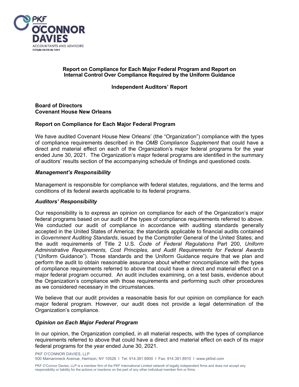

## **Report on Compliance for Each Major Federal Program and Report on Internal Control Over Compliance Required by the Uniform Guidance**

**Independent Auditors' Report** 

**Board of Directors Covenant House New Orleans** 

## **Report on Compliance for Each Major Federal Program**

We have audited Covenant House New Orleans' (the "Organization") compliance with the types of compliance requirements described in the *OMB Compliance Supplement* that could have a direct and material effect on each of the Organization's major federal programs for the year ended June 30, 2021. The Organization's major federal programs are identified in the summary of auditors' results section of the accompanying schedule of findings and questioned costs.

## *Management's Responsibility*

Management is responsible for compliance with federal statutes, regulations, and the terms and conditions of its federal awards applicable to its federal programs.

## *Auditors' Responsibility*

Our responsibility is to express an opinion on compliance for each of the Organization's major federal programs based on our audit of the types of compliance requirements referred to above. We conducted our audit of compliance in accordance with auditing standards generally accepted in the United States of America; the standards applicable to financial audits contained in *Government Auditing Standards*, issued by the Comptroller General of the United States; and the audit requirements of Title 2 U.S. *Code of Federal Regulations* Part 200, *Uniform Administrative Requirements, Cost Principles, and Audit Requirements for Federal Awards* ("Uniform Guidance"). Those standards and the Uniform Guidance require that we plan and perform the audit to obtain reasonable assurance about whether noncompliance with the types of compliance requirements referred to above that could have a direct and material effect on a major federal program occurred. An audit includes examining, on a test basis, evidence about the Organization's compliance with those requirements and performing such other procedures as we considered necessary in the circumstances.

We believe that our audit provides a reasonable basis for our opinion on compliance for each major federal program. However, our audit does not provide a legal determination of the Organization's compliance.

# *Opinion on Each Major Federal Program*

In our opinion, the Organization complied, in all material respects, with the types of compliance requirements referred to above that could have a direct and material effect on each of its major federal programs for the year ended June 30, 2021.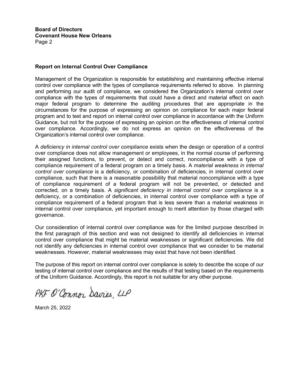**Board of Directors Covenant House New Orleans**  Page 2

#### **Report on Internal Control Over Compliance**

Management of the Organization is responsible for establishing and maintaining effective internal control over compliance with the types of compliance requirements referred to above. In planning and performing our audit of compliance, we considered the Organization's internal control over compliance with the types of requirements that could have a direct and material effect on each major federal program to determine the auditing procedures that are appropriate in the circumstances for the purpose of expressing an opinion on compliance for each major federal program and to test and report on internal control over compliance in accordance with the Uniform Guidance, but not for the purpose of expressing an opinion on the effectiveness of internal control over compliance. Accordingly, we do not express an opinion on the effectiveness of the Organization's internal control over compliance.

A *deficiency in internal control over compliance* exists when the design or operation of a control over compliance does not allow management or employees, in the normal course of performing their assigned functions, to prevent, or detect and correct, noncompliance with a type of compliance requirement of a federal program on a timely basis. A *material weakness in internal control over compliance* is a deficiency, or combination of deficiencies, in internal control over compliance, such that there is a reasonable possibility that material noncompliance with a type of compliance requirement of a federal program will not be prevented, or detected and corrected, on a timely basis. A *significant deficiency in internal control over compliance* is a deficiency, or a combination of deficiencies, in internal control over compliance with a type of compliance requirement of a federal program that is less severe than a material weakness in internal control over compliance, yet important enough to merit attention by those charged with governance.

Our consideration of internal control over compliance was for the limited purpose described in the first paragraph of this section and was not designed to identify all deficiencies in internal control over compliance that might be material weaknesses or significant deficiencies. We did not identify any deficiencies in internal control over compliance that we consider to be material weaknesses. However, material weaknesses may exist that have not been identified.

The purpose of this report on internal control over compliance is solely to describe the scope of our testing of internal control over compliance and the results of that testing based on the requirements of the Uniform Guidance. Accordingly, this report is not suitable for any other purpose.

PKF O'Connor Davies, LLP

March 25, 2022